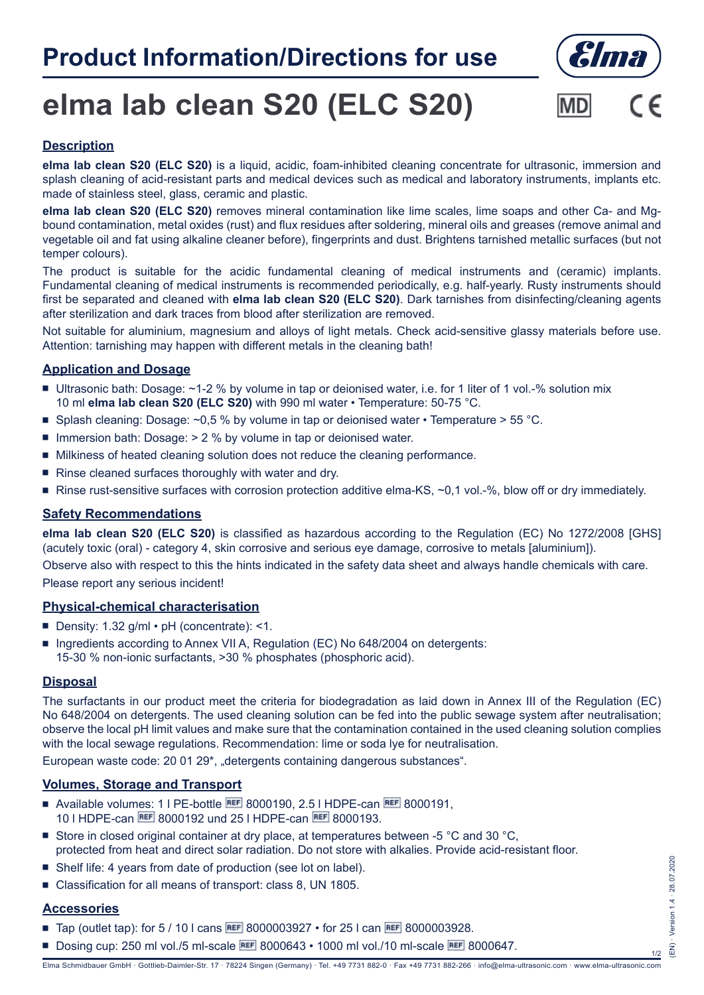## **Product Information/Directions for use**



# **elma lab clean S20 (ELC S20)**



### **Description**

**elma lab clean S20 (ELC S20)** is a liquid, acidic, foam-inhibited cleaning concentrate for ultrasonic, immersion and splash cleaning of acid-resistant parts and medical devices such as medical and laboratory instruments, implants etc. made of stainless steel, glass, ceramic and plastic.

**elma lab clean S20 (ELC S20)** removes mineral contamination like lime scales, lime soaps and other Ca- and Mgbound contamination, metal oxides (rust) and flux residues after soldering, mineral oils and greases (remove animal and vegetable oil and fat using alkaline cleaner before), fingerprints and dust. Brightens tarnished metallic surfaces (but not temper colours).

The product is suitable for the acidic fundamental cleaning of medical instruments and (ceramic) implants. Fundamental cleaning of medical instruments is recommended periodically, e.g. half-yearly. Rusty instruments should first be separated and cleaned with **elma lab clean S20 (ELC S20)**. Dark tarnishes from disinfecting/cleaning agents after sterilization and dark traces from blood after sterilization are removed.

Not suitable for aluminium, magnesium and alloys of light metals. Check acid-sensitive glassy materials before use. Attention: tarnishing may happen with different metals in the cleaning bath!

#### **Application and Dosage**

- Ultrasonic bath: Dosage:  $\sim$ 1-2 % by volume in tap or deionised water, i.e. for 1 liter of 1 vol.-% solution mix 10 ml **elma lab clean S20 (ELC S20)** with 990 ml water • Temperature: 50-75 °C.
- **Splash cleaning: Dosage: ~0,5 % by volume in tap or deionised water Temperature > 55 °C.**
- $\blacksquare$  Immersion bath: Dosage:  $> 2$  % by volume in tap or deionised water.
- $\blacksquare$  Milkiness of heated cleaning solution does not reduce the cleaning performance.
- Rinse cleaned surfaces thoroughly with water and dry.
- Rinse rust-sensitive surfaces with corrosion protection additive elma-KS,  $\sim$  0.1 vol.-%, blow off or dry immediately.

#### **Safety Recommendations**

**elma lab clean S20 (ELC S20)** is classified as hazardous according to the Regulation (EC) No 1272/2008 [GHS] (acutely toxic (oral) - category 4, skin corrosive and serious eye damage, corrosive to metals [aluminium]).

Observe also with respect to this the hints indicated in the safety data sheet and always handle chemicals with care. Please report any serious incident!

#### **Physical-chemical characterisation**

- Density:  $1.32$  g/ml  $\cdot$  pH (concentrate): <1.
- **Ingredients according to Annex VII A, Regulation (EC) No 648/2004 on detergents:** 15-30 % non-ionic surfactants, >30 % phosphates (phosphoric acid).

#### **Disposal**

The surfactants in our product meet the criteria for biodegradation as laid down in Annex III of the Regulation (EC) No 648/2004 on detergents. The used cleaning solution can be fed into the public sewage system after neutralisation; observe the local pH limit values and make sure that the contamination contained in the used cleaning solution complies with the local sewage regulations. Recommendation: lime or soda lye for neutralisation.

European waste code: 20 01 29\*, "detergents containing dangerous substances".

#### **Volumes, Storage and Transport**

- Available volumes: 1 | PE-bottle  $\overline{ref}$  8000190, 2.5 | HDPE-can  $\overline{ref}$  8000191, 10 I HDPE-can REF 8000192 und 25 I HDPE-can REF 8000193.
- Geta Store in closed original container at dry place, at temperatures between -5  $\degree$ C and 30  $\degree$ C, protected from heat and direct solar radiation. Do not store with alkalies. Provide acid-resistant floor.
- Shelf life: 4 years from date of production (see lot on label).
- Classification for all means of transport: class 8, UN 1805.

#### **Accessories**

- **Tap (outlet tap): for 5 / 10 l cans REF 8000003927 for 25 l can REF 8000003928.**
- Dosing cup: 250 ml vol./5 ml-scale **BEF** 8000643 1000 ml vol./10 ml-scale **BEF** 8000647.

1/2